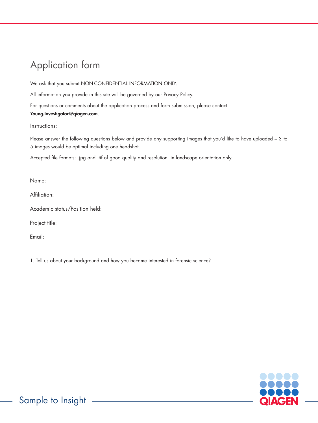## Application form

We ask that you submit NON-CONFIDENTIAL INFORMATION ONLY.

All information you provide in this site will be governed by our [Privacy Policy.](https://www.qiagen.com/trademarks-and-disclaimers/privacy-policy/)

For questions or comments about the application process and form submission, please contact [Young.Investigator@qiagen.com](mailto:Young.Investigator%40qiagen.com?subject=).

Instructions:

Please answer the following questions below and provide any supporting images that you'd like to have uploaded – 3 to 5 images would be optimal including one headshot.

Accepted file formats: .jpg and .tif of good quality and resolution, in landscape orientation only.

Name:

Affiliation:

Academic status/Position held:

Project title:

Email:

1. Tell us about your background and how you became interested in forensic science?

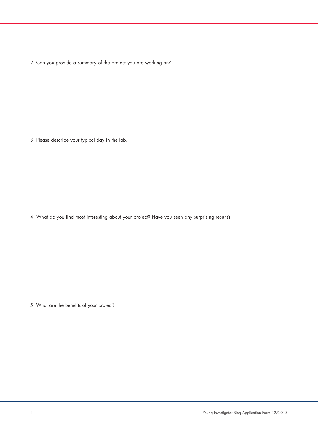2. Can you provide a summary of the project you are working on?

3. Please describe your typical day in the lab.

4. What do you find most interesting about your project? Have you seen any surprising results?

5. What are the benefits of your project?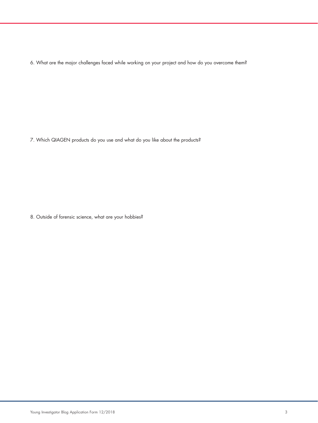6. What are the major challenges faced while working on your project and how do you overcome them?

7. Which QIAGEN products do you use and what do you like about the products?

8. Outside of forensic science, what are your hobbies?